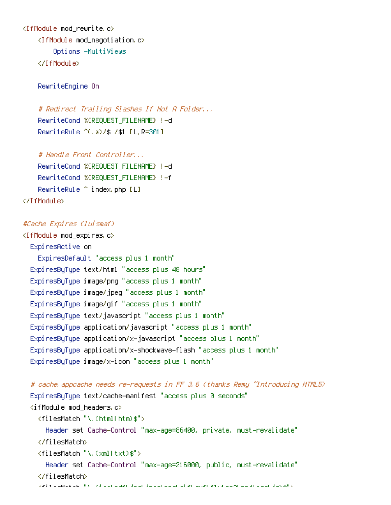```
<IfModule mod_rewrite.c>
    <IfModule mod_negotiation.c>
        Options -MultiViews
    </IfModule>
```
RewriteEngine On

# Redirect Trailing Slashes If Not A Folder... RewriteCond %{REQUEST\_FILENAME} !-d RewriteRule ^(.\*)/\$ /\$1 [L,R=301]

# Handle Front Controller... RewriteCond %{REQUEST\_FILENAME} !-d RewriteCond %{REQUEST\_FILENAME} !-f RewriteRule ^ index.php [L] </IfModule>

## #Cache Expires (luismaf)

<IfModule mod\_expires.c> ExpiresActive on ExpiresDefault "access plus 1 month" ExpiresByType text/html "access plus 48 hours" ExpiresByType image/png "access plus 1 month" ExpiresByType image/jpeg "access plus 1 month" ExpiresByType image/gif "access plus 1 month" ExpiresByType text/javascript "access plus 1 month" ExpiresByType application/javascript "access plus 1 month" ExpiresByType application/x-javascript "access plus 1 month" ExpiresByType application/x-shockwave-flash "access plus 1 month" ExpiresByType image/x-icon "access plus 1 month"

```
# cache.appcache needs re-requests in FF 3.6 (thanks Remy ~Introducing HTML5)
ExpiresByType text/cache-manifest "access plus 0 seconds"
\langleifModule mod headers.c\rangle<filesMatch "\.(html|htm)$">
    Header set Cache-Control "max-age=86400, private, must-revalidate"
  </filesMatch>
  <filesMatch "\.(xml|txt)$">
    Header set Cache-Control "max-age=216000, public, must-revalidate"
  </filesMatch>
```
 $\mu$  ) and the files of the files of the fluid second property  $p$  (if  $p$  ) is the flow  $p$  (if  $p$